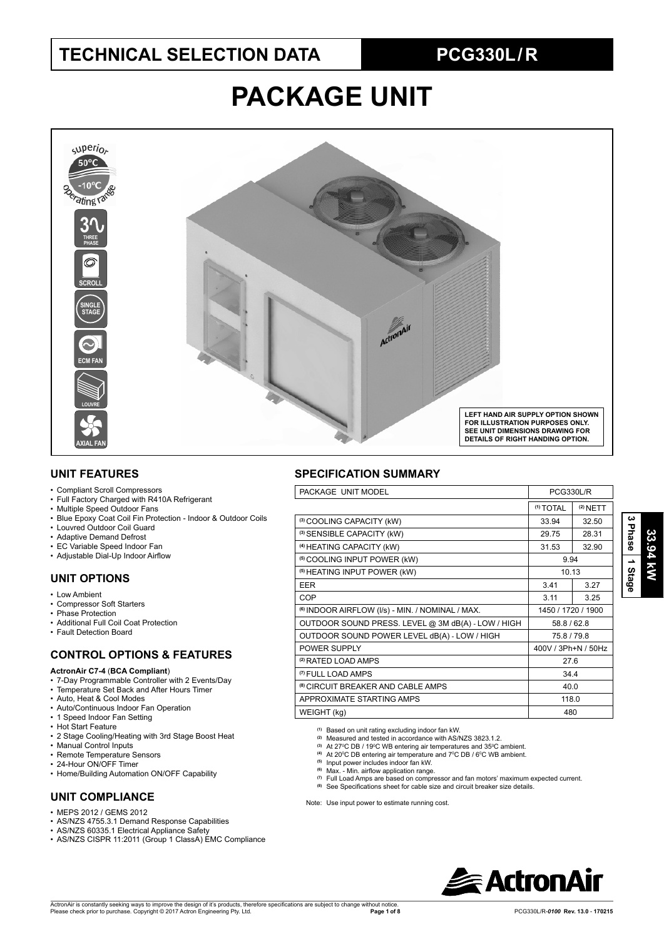## **TECHNICAL SELECTION DATA PCG330L / R**

# **PACKAGE UNIT**



#### **UNIT FEATURES**

- Compliant Scroll Compressors
- Full Factory Charged with R410A Refrigerant
- Multiple Speed Outdoor Fans
- Blue Epoxy Coat Coil Fin Protection Indoor & Outdoor Coils
- Louvred Outdoor Coil Guard
- Adaptive Demand Defrost
- EC Variable Speed Indoor Fan
- Adjustable Dial-Up Indoor Airflow

### **UNIT OPTIONS**

- Low Ambient
- Compressor Soft Starters
- Phase Protection
- Additional Full Coil Coat Protection
- Fault Detection Board

### **CONTROL OPTIONS & FEATURES**

#### **ActronAir C7-4** (**BCA Compliant**)

- 7-Day Programmable Controller with 2 Events/Day
- Temperature Set Back and After Hours Timer
- Auto, Heat & Cool Modes
- Auto/Continuous Indoor Fan Operation
- 1 Speed Indoor Fan Setting
- Hot Start Feature
- 2 Stage Cooling/Heating with 3rd Stage Boost Heat
- Manual Control Inputs
- Remote Temperature Sensors
- 24-Hour ON/OFF Timer
- Home/Building Automation ON/OFF Capability

### **UNIT COMPLIANCE**

- MEPS 2012 / GEMS 2012
- AS/NZS 4755.3.1 Demand Response Capabilities
- AS/NZS 60335.1 Electrical Appliance Safety
- AS/NZS CISPR 11:2011 (Group 1 ClassA) EMC Compliance

#### **SPECIFICATION SUMMARY**

| PACKAGE UNIT MODEL                                          | PCG330L/R            |            |
|-------------------------------------------------------------|----------------------|------------|
|                                                             | <sup>(1)</sup> TOTAL | $(2)$ NETT |
| (3) COOLING CAPACITY (kW)                                   | 33.94                | 32.50      |
| <sup>(3)</sup> SENSIBLE CAPACITY (kW)                       | 29.75                | 28.31      |
| (4) HEATING CAPACITY (kW)                                   | 31.53                | 32.90      |
| <sup>(5)</sup> COOLING INPUT POWER (kW)                     | 9.94                 |            |
| <sup>(5)</sup> HEATING INPUT POWER (kW)                     | 10.13                |            |
| <b>EER</b>                                                  | 3.41                 | 3.27       |
| <b>COP</b>                                                  | 3.11                 | 3.25       |
| <sup>(6)</sup> INDOOR AIRFLOW (I/s) - MIN. / NOMINAL / MAX. | 1450 / 1720 / 1900   |            |
| OUTDOOR SOUND PRESS. LEVEL @ 3M dB(A) - LOW / HIGH          | 58.8 / 62.8          |            |
| OUTDOOR SOUND POWER LEVEL dB(A) - LOW / HIGH                | 75.8 / 79.8          |            |
| POWER SUPPLY                                                | 400V / 3Ph+N / 50Hz  |            |
| <sup>(2)</sup> RATED LOAD AMPS                              | 27.6                 |            |
| <sup>(7)</sup> FULL LOAD AMPS                               | 34.4                 |            |
| <sup>(8)</sup> CIRCUIT BREAKER AND CABLE AMPS               | 40.0                 |            |
| APPROXIMATE STARTING AMPS                                   | 118.0                |            |
| WEIGHT (kg)                                                 | 480                  |            |
|                                                             |                      |            |

**(1)** Based on unit rating excluding indoor fan kW. **(2)** Measured and tested in accordance with AS/NZS 3823.1.2.

- 
- <sup>(3)</sup> At 27ºC DB / 19ºC WB entering air temperatures and 35ºC ambient.<br><sup>(4)</sup> At 20ºC DB entering air temperature and 7ºC DB / 6ºC WB ambient.<br><sup>(5)</sup> Input power includes indoor fan kW.
- 
- (6) Max. Min. airflow application range.
- **(7)** Full Load Amps are based on compressor and fan motors' maximum expected current.
- See Specifications sheet for cable size and circuit breaker size details.

Note: Use input power to estimate running cost.



**3 Phase**

 **1 Stage**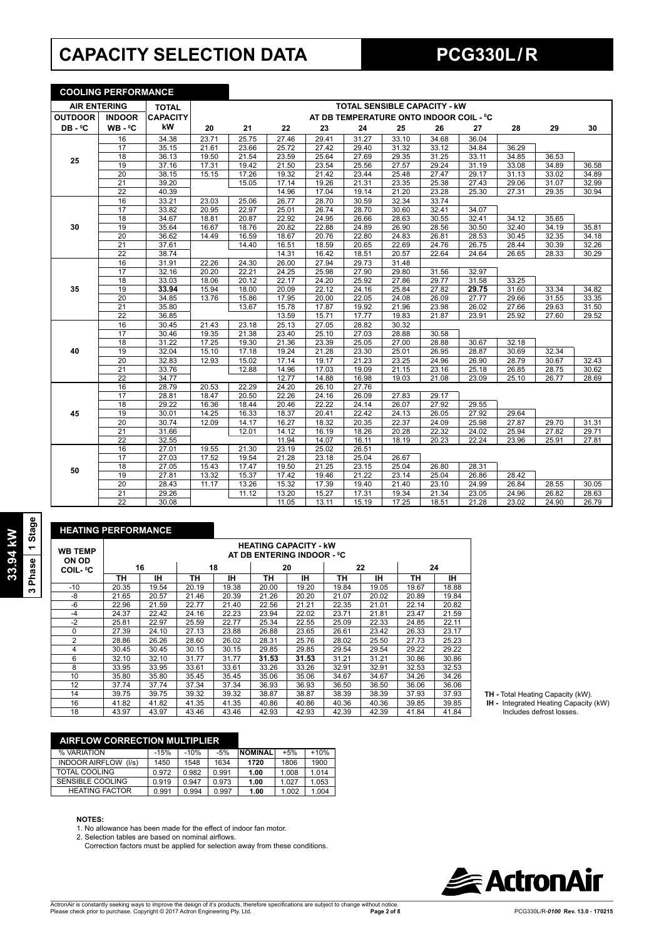# **CAPACITY SELECTION DATA PCG330L / R**

**COOLING PERFORMANCE**

|                     | <u>UUULIINU FENFUNIMAINUE</u> |                 |       |       |       |       |       |                                         |       |       |       |       |       |
|---------------------|-------------------------------|-----------------|-------|-------|-------|-------|-------|-----------------------------------------|-------|-------|-------|-------|-------|
| <b>AIR ENTERING</b> |                               | <b>TOTAL</b>    |       |       |       |       |       | <b>TOTAL SENSIBLE CAPACITY - KW</b>     |       |       |       |       |       |
| <b>OUTDOOR</b>      | <b>INDOOR</b>                 | <b>CAPACITY</b> |       |       |       |       |       | AT DB TEMPERATURE ONTO INDOOR COIL - °C |       |       |       |       |       |
| DB-°C               | $WB - C$                      | kW              | 20    | 21    | 22    | 23    | 24    | 25                                      | 26    | 27    | 28    | 29    | 30    |
|                     | 16                            | 34.38           | 23.71 | 25.75 | 27.46 | 29.41 | 31.27 | 33.10                                   | 34.68 | 36.04 |       |       |       |
|                     | 17                            | 35.15           | 21.61 | 23.66 | 25.72 | 27.42 | 29.40 | 31.32                                   | 33.12 | 34.84 | 36.29 |       |       |
| 25                  | 18                            | 36.13           | 19.50 | 21.54 | 23.59 | 25.64 | 27.69 | 29.35                                   | 31.25 | 33.11 | 34.85 | 36.53 |       |
|                     | 19                            | 37.16           | 17.31 | 19.42 | 21.50 | 23.54 | 25.56 | 27.57                                   | 29.24 | 31.19 | 33.08 | 34.89 | 36.58 |
|                     | $\overline{20}$               | 38.15           | 15.15 | 17.26 | 19.32 | 21.42 | 23.44 | 25.48                                   | 27.47 | 29.17 | 31.13 | 33.02 | 34.89 |
|                     | $\overline{21}$               | 39.20           |       | 15.05 | 17.14 | 19.26 | 21.31 | 23.35                                   | 25.38 | 27.43 | 29.06 | 31.07 | 32.99 |
|                     | 22                            | 40.39           |       |       | 14.96 | 17.04 | 19.14 | 21.20                                   | 23.28 | 25.30 | 27.31 | 29.35 | 30.94 |
|                     | 16                            | 33.21           | 23.03 | 25.06 | 26.77 | 28.70 | 30.59 | 32.34                                   | 33.74 |       |       |       |       |
|                     | 17                            | 33.82           | 20.95 | 22.97 | 25.01 | 26.74 | 28.70 | 30.60                                   | 32.41 | 34.07 |       |       |       |
|                     | $\overline{18}$               | 34.67           | 18.81 | 20.87 | 22.92 | 24.95 | 26.66 | 28.63                                   | 30.55 | 32.41 | 34.12 | 35.65 |       |
| 30                  | 19                            | 35.64           | 16.67 | 18.76 | 20.82 | 22.88 | 24.89 | 26.90                                   | 28.56 | 30.50 | 32.40 | 34.19 | 35.81 |
|                     | $\overline{20}$               | 36.62           | 14.49 | 16.59 | 18.67 | 20.76 | 22.80 | 24.83                                   | 26.81 | 28.53 | 30.45 | 32.35 | 34.18 |
|                     | 21                            | 37.61           |       | 14.40 | 16.51 | 18.59 | 20.65 | 22.69                                   | 24.76 | 26.75 | 28.44 | 30.39 | 32.26 |
|                     | 22                            | 38.74           |       |       | 14.31 | 16.42 | 18.51 | 20.57                                   | 22.64 | 24.64 | 26.65 | 28.33 | 30.29 |
|                     | 16                            | 31.91           | 22.26 | 24.30 | 26.00 | 27.94 | 29.73 | 31.48                                   |       |       |       |       |       |
|                     | $\overline{17}$               | 32.16           | 20.20 | 22.21 | 24.25 | 25.98 | 27.90 | 29.80                                   | 31.56 | 32.97 |       |       |       |
|                     | 18                            | 33.03           | 18.06 | 20.12 | 22.17 | 24.20 | 25.92 | 27.86                                   | 29.77 | 31.58 | 33.25 |       |       |
| 35                  | 19                            | 33.94           | 15.94 | 18.00 | 20.09 | 22.12 | 24.16 | 25.84                                   | 27.82 | 29.75 | 31.60 | 33.34 | 34.82 |
|                     | 20                            | 34.85           | 13.76 | 15.86 | 17.95 | 20.00 | 22.05 | 24.08                                   | 26.09 | 27.77 | 29.66 | 31.55 | 33.35 |
|                     | 21                            | 35.80           |       | 13.67 | 15.78 | 17.87 | 19.92 | 21.96                                   | 23.98 | 26.02 | 27.66 | 29.63 | 31.50 |
|                     | $\overline{22}$               | 36.85           |       |       | 13.59 | 15.71 | 17.77 | 19.83                                   | 21.87 | 23.91 | 25.92 | 27.60 | 29.52 |
|                     | 16                            | 30.45           | 21.43 | 23.18 | 25.13 | 27.05 | 28.82 | 30.32                                   |       |       |       |       |       |
|                     | 17                            | 30.46           | 19.35 | 21.38 | 23.40 | 25.10 | 27.03 | 28.88                                   | 30.58 |       |       |       |       |
|                     | $\overline{18}$               | 31.22           | 17.25 | 19.30 | 21.36 | 23.39 | 25.05 | 27.00                                   | 28.88 | 30.67 | 32.18 |       |       |
| 40                  | 19                            | 32.04           | 15.10 | 17.18 | 19.24 | 21.28 | 23.30 | 25.01                                   | 26.95 | 28.87 | 30.69 | 32.34 |       |
|                     | $\overline{20}$               | 32.83           | 12.93 | 15.02 | 17.14 | 19.17 | 21.23 | 23.25                                   | 24.96 | 26.90 | 28.79 | 30.67 | 32.43 |
|                     | 21                            | 33.76           |       | 12.88 | 14.96 | 17.03 | 19.09 | 21.15                                   | 23.16 | 25.18 | 26.85 | 28.75 | 30.62 |
|                     | $\overline{22}$               | 34.77           |       |       | 12.77 | 14.88 | 16.98 | 19.03                                   | 21.08 | 23.09 | 25.10 | 26.77 | 28.69 |
|                     | 16                            | 28.79           | 20.53 | 22.29 | 24.20 | 26.10 | 27.76 |                                         |       |       |       |       |       |
|                     | $\overline{17}$               | 28.81           | 18.47 | 20.50 | 22.26 | 24.16 | 26.09 | 27.83                                   | 29.17 |       |       |       |       |
|                     | 18                            | 29.22           | 16.36 | 18.44 | 20.46 | 22.22 | 24.14 | 26.07                                   | 27.92 | 29.55 |       |       |       |
| 45                  | 19                            | 30.01           | 14.25 | 16.33 | 18.37 | 20.41 | 22.42 | 24.13                                   | 26.05 | 27.92 | 29.64 |       |       |
|                     | 20                            | 30.74           | 12.09 | 14.17 | 16.27 | 18.32 | 20.35 | 22.37                                   | 24.09 | 25.98 | 27.87 | 29.70 | 31.31 |
|                     | $\overline{21}$               | 31.66           |       | 12.01 | 14.12 | 16.19 | 18.26 | 20.28                                   | 22.32 | 24.02 | 25.94 | 27.82 | 29.71 |
|                     | $\overline{22}$               | 32.55           |       |       | 11.94 | 14.07 | 16.11 | 18.19                                   | 20.23 | 22.24 | 23.96 | 25.91 | 27.81 |
|                     | 16                            | 27.01           | 19.55 | 21.30 | 23.19 | 25.02 | 26.51 |                                         |       |       |       |       |       |
|                     | 17                            | 27.03           | 17.52 | 19.54 | 21.28 | 23.18 | 25.04 | 26.67                                   |       |       |       |       |       |
| 50                  | 18                            | 27.05           | 15.43 | 17.47 | 19.50 | 21.25 | 23.15 | 25.04                                   | 26.80 | 28.31 |       |       |       |
|                     | 19                            | 27.81           | 13.32 | 15.37 | 17.42 | 19.46 | 21.22 | 23.14                                   | 25.04 | 26.86 | 28.42 |       |       |
|                     | $\overline{20}$               | 28.43           | 11.17 | 13.26 | 15.32 | 17.39 | 19.40 | 21.40                                   | 23.10 | 24.99 | 26.84 | 28.55 | 30.05 |
|                     | $\overline{21}$               | 29.26           |       | 11.12 | 13.20 | 15.27 | 17.31 | 19.34                                   | 21.34 | 23.05 | 24.96 | 26.82 | 28.63 |
|                     | 22                            | 30.08           |       |       | 11.05 | 13.11 | 15.19 | 17.25                                   | 18.51 | 21.28 | 23.02 | 24.90 | 26.79 |

 $\overline{\phantom{0}}$ 

| <b>HEATING PERFORMANCE</b> |       |       |       |       |       |                                                            |       |       |       |       |
|----------------------------|-------|-------|-------|-------|-------|------------------------------------------------------------|-------|-------|-------|-------|
| <b>WB TEMP</b><br>ON OD    |       |       |       |       |       | <b>HEATING CAPACITY - kW</b><br>AT DB ENTERING INDOOR - °C |       |       |       |       |
| <b>COIL-</b> °C            |       | 16    | 18    |       |       | 20                                                         | 22    |       |       | 24    |
|                            | ΤН    | ıн    | ΤН    | ін    | ΤН    | IН                                                         | ΤН    | ıн    | ΤН    | ۱Н    |
| $-10$                      | 20.35 | 19.54 | 20.19 | 19.38 | 20.00 | 19.20                                                      | 19.84 | 19.05 | 19.67 | 18.88 |
| -8                         | 21.65 | 20.57 | 21.46 | 20.39 | 21.26 | 20.20                                                      | 21.07 | 20.02 | 20.89 | 19.84 |
| $-6$                       | 22.96 | 21.59 | 22.77 | 21.40 | 22.56 | 21.21                                                      | 22.35 | 21.01 | 22.14 | 20.82 |
| $-4$                       | 24.37 | 22.42 | 24.16 | 22.23 | 23.94 | 22.02                                                      | 23.71 | 21.81 | 23.47 | 21.59 |
| $-2$                       | 25.81 | 22.97 | 25.59 | 22.77 | 25.34 | 22.55                                                      | 25.09 | 22.33 | 24.85 | 22.11 |
| $\Omega$                   | 27.39 | 24.10 | 27.13 | 23.88 | 26.88 | 23.65                                                      | 26.61 | 23.42 | 26.33 | 23.17 |
| 2                          | 28.86 | 26.26 | 28.60 | 26.02 | 28.31 | 25.76                                                      | 28.02 | 25.50 | 27.73 | 25.23 |
| 4                          | 30.45 | 30.45 | 30.15 | 30.15 | 29.85 | 29.85                                                      | 29.54 | 29.54 | 29.22 | 29.22 |
| 6                          | 32.10 | 32.10 | 31.77 | 31.77 | 31.53 | 31.53                                                      | 31.21 | 31.21 | 30.86 | 30.86 |
| 8                          | 33.95 | 33.95 | 33.61 | 33.61 | 33.26 | 33.26                                                      | 32.91 | 32.91 | 32.53 | 32.53 |
| 10                         | 35.80 | 35.80 | 35.45 | 35.45 | 35.06 | 35.06                                                      | 34.67 | 34.67 | 34.26 | 34.26 |
| 12                         | 37.74 | 37.74 | 37.34 | 37.34 | 36.93 | 36.93                                                      | 36.50 | 36.50 | 36.06 | 36.06 |
| 14                         | 39.75 | 39.75 | 39.32 | 39.32 | 38.87 | 38.87                                                      | 38.39 | 38.39 | 37.93 | 37.93 |
| 16                         | 41.82 | 41.82 | 41.35 | 41.35 | 40.86 | 40.86                                                      | 40.36 | 40.36 | 39.85 | 39.85 |
| 18                         | 43.97 | 43.97 | 43.46 | 43.46 | 42.93 | 42.93                                                      | 42.39 | 42.39 | 41.84 | 41.84 |

**TH -** Total Heating Capacity (kW).

 **IH -** Integrated Heating Capacity (kW) Includes defrost losses.

**3 Phase 1 Stage**

## **AIRFLOW CORRECTION MULTIPLIER** % VARIATION -15% -10% -5% **NOMINAL** +5% +10%

| <b>70 VARIALIUN</b>            | -1370 | -1070 | -570  | INUMINAL | TJ 70 | <b>TIU70</b> |
|--------------------------------|-------|-------|-------|----------|-------|--------------|
| <b>INDOOR AIRFLOW</b><br>(1/s) | 1450  | 1548  | 1634  | 1720     | 1806  | 1900         |
| TOTAL COOLING                  | 0.972 | 0.982 | 0.991 | 1.00     | 1.008 | 1.014        |
| SENSIBLE COOLING               | 0.919 | 0.947 | 0.973 | 1.00     | 1.027 | 1.053        |
| <b>HEATING FACTOR</b>          | 0.991 | 0.994 | 0.997 | 1.00     | 1.002 | 1.004        |
|                                |       |       |       |          |       |              |

#### **NOTES:**

1. No allowance has been made for the effect of indoor fan motor.<br>2. Selection tables are based on nominal airflows.

Correction factors must be applied for selection away from these conditions.

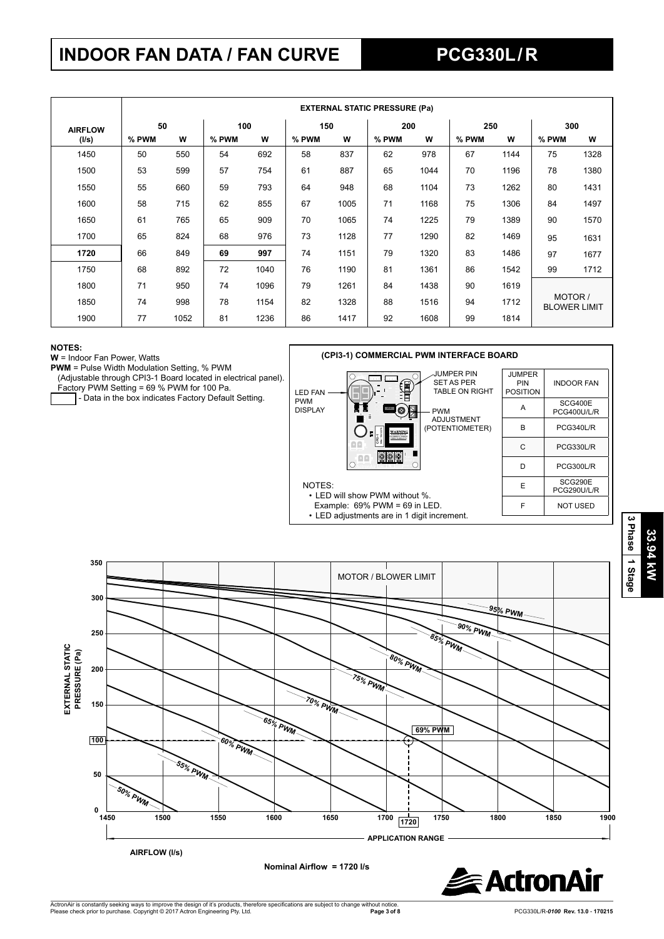# **INDOOR FAN DATA / FAN CURVE PCG330L / R**

|                |       | <b>EXTERNAL STATIC PRESSURE (Pa)</b> |       |      |       |      |       |      |       |      |                                |      |
|----------------|-------|--------------------------------------|-------|------|-------|------|-------|------|-------|------|--------------------------------|------|
| <b>AIRFLOW</b> | 50    |                                      | 100   |      | 150   |      | 200   |      | 250   |      | 300                            |      |
| (I/s)          | % PWM | W                                    | % PWM | W    | % PWM | W    | % PWM | W    | % PWM | W    | % PWM                          | w    |
| 1450           | 50    | 550                                  | 54    | 692  | 58    | 837  | 62    | 978  | 67    | 1144 | 75                             | 1328 |
| 1500           | 53    | 599                                  | 57    | 754  | 61    | 887  | 65    | 1044 | 70    | 1196 | 78                             | 1380 |
| 1550           | 55    | 660                                  | 59    | 793  | 64    | 948  | 68    | 1104 | 73    | 1262 | 80                             | 1431 |
| 1600           | 58    | 715                                  | 62    | 855  | 67    | 1005 | 71    | 1168 | 75    | 1306 | 84                             | 1497 |
| 1650           | 61    | 765                                  | 65    | 909  | 70    | 1065 | 74    | 1225 | 79    | 1389 | 90                             | 1570 |
| 1700           | 65    | 824                                  | 68    | 976  | 73    | 1128 | 77    | 1290 | 82    | 1469 | 95                             | 1631 |
| 1720           | 66    | 849                                  | 69    | 997  | 74    | 1151 | 79    | 1320 | 83    | 1486 | 97                             | 1677 |
| 1750           | 68    | 892                                  | 72    | 1040 | 76    | 1190 | 81    | 1361 | 86    | 1542 | 99                             | 1712 |
| 1800           | 71    | 950                                  | 74    | 1096 | 79    | 1261 | 84    | 1438 | 90    | 1619 |                                |      |
| 1850           | 74    | 998                                  | 78    | 1154 | 82    | 1328 | 88    | 1516 | 94    | 1712 | MOTOR /<br><b>BLOWER LIMIT</b> |      |
| 1900           | 77    | 1052                                 | 81    | 1236 | 86    | 1417 | 92    | 1608 | 99    | 1814 |                                |      |

#### **NOTES:**

**W** = Indoor Fan Power, Watts

Factory PWM Setting = 69 % PWM for 100 Pa.

- Data in the box indicates Factory Default Setting.







NOTES:

• LED will show PWM without %. Example: 69% PWM = 69 in LED. • LED adjustments are in 1 digit increment.



**PWM** = Pulse Width Modulation Setting, % PWM (Adjustable through CPI3-1 Board located in electrical panel).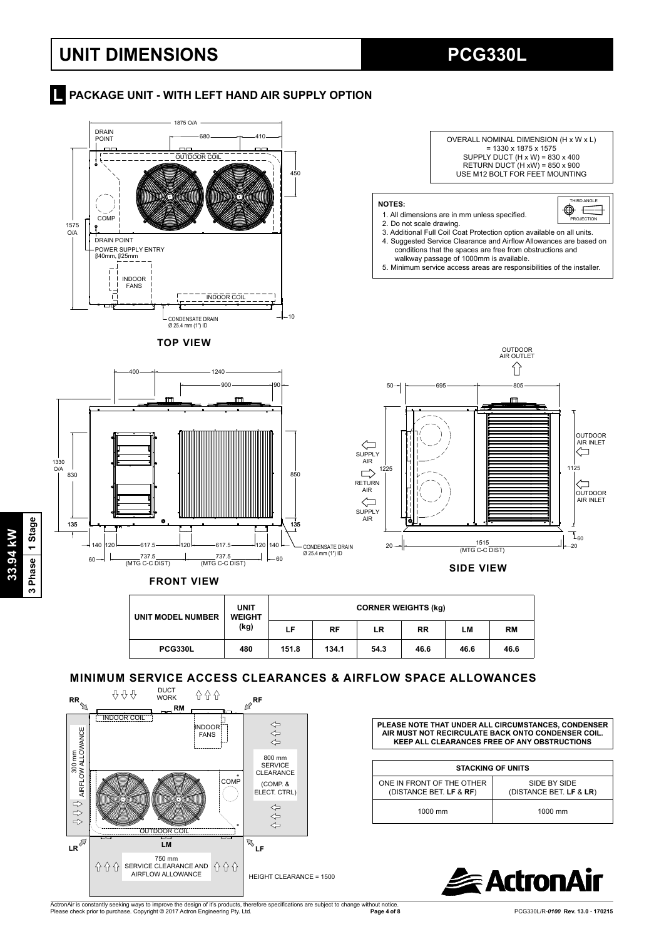## **UNIT DIMENSIONS PCG330L**

#### **Report AT A PACKAGE UNIT - WITH LEFT HAND AIR SUPPLY OPTION**



| UNIT MODEL NUMBER | <b>UNIT</b><br><b>WEIGHT</b> |       | <b>CORNER WEIGHTS (kg)</b> |      |           |      |           |  |  |  |  |
|-------------------|------------------------------|-------|----------------------------|------|-----------|------|-----------|--|--|--|--|
|                   | (kg)                         | LF    | <b>RF</b>                  | LR   | <b>RR</b> | LМ   | <b>RM</b> |  |  |  |  |
| <b>PCG330L</b>    | 480                          | 151.8 | 134.1                      | 54.3 | 46.6      | 46.6 | 46.6      |  |  |  |  |

### **MINIMUM SERVICE ACCESS CLEARANCES & AIRFLOW SPACE ALLOWANCES**



**PLEASE NOTE THAT UNDER ALL CIRCUMSTANCES, CONDENSER AIR MUST NOT RECIRCULATE BACK ONTO CONDENSER COIL. KEEP ALL CLEARANCES FREE OF ANY OBSTRUCTIONS**

| <b>STACKING OF UNITS</b>                                                                        |         |  |  |  |  |  |  |
|-------------------------------------------------------------------------------------------------|---------|--|--|--|--|--|--|
| ONE IN FRONT OF THE OTHER<br>SIDE BY SIDE<br>(DISTANCE BET. LF & RF)<br>(DISTANCE BET. LF & LR) |         |  |  |  |  |  |  |
| 1000 mm                                                                                         | 1000 mm |  |  |  |  |  |  |



ActronAir is constantly seeking ways to improve the design of it's products, therefore specifications are subject to change without notice.<br>Please check prior to purchase. Copyright © 2017 Actron Engineering Pty. Ltd.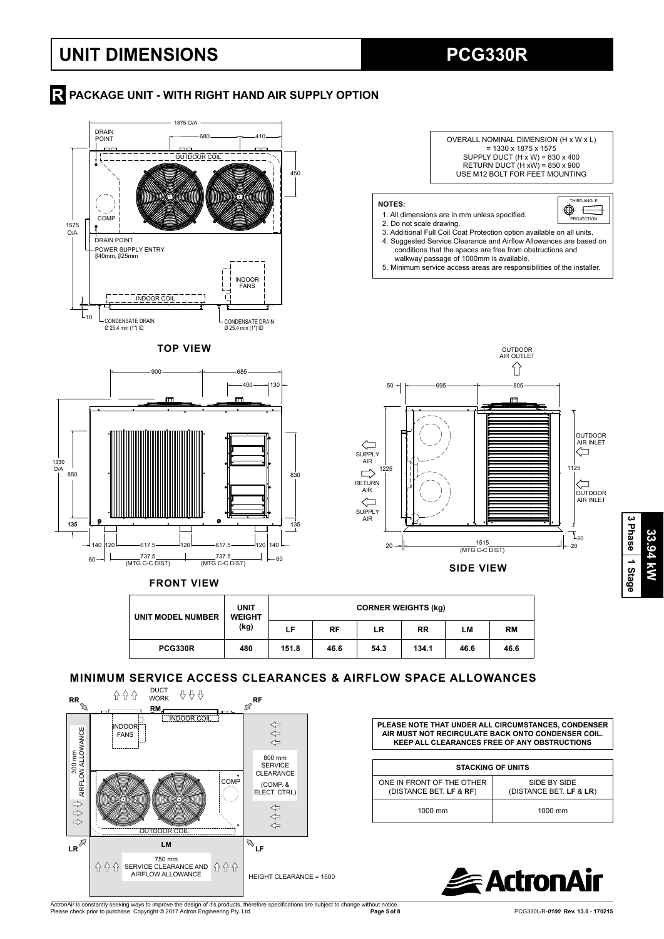## **UNIT DIMENSIONS PCG330R**

## **R** PACKAGE UNIT - WITH RIGHT HAND AIR SUPPLY OPTION







**FRONT VIEW**

| UNIT MODEL NUMBER | <b>UNIT</b><br><b>WEIGHT</b><br>(kg) |       | <b>CORNER WEIGHTS (kg)</b> |      |           |      |      |  |  |  |
|-------------------|--------------------------------------|-------|----------------------------|------|-----------|------|------|--|--|--|
|                   |                                      | LF    | RF                         | LR   | <b>RR</b> | LМ   | RM   |  |  |  |
| <b>PCG330R</b>    | 480                                  | 151.8 | 46.6                       | 54.3 | 134.1     | 46.6 | 46.6 |  |  |  |

#### **MINIMUM SERVICE ACCESS CLEARANCES & AIRFLOW SPACE ALLOWANCES**



**PLEASE NOTE THAT UNDER ALL CIRCUMSTANCES, CONDENSER AIR MUST NOT RECIRCULATE BACK ONTO CONDENSER COIL. KEEP ALL CLEARANCES FREE OF ANY OBSTRUCTIONS**

| <b>STACKING OF UNITS</b>                             |                                         |  |  |  |  |  |  |  |
|------------------------------------------------------|-----------------------------------------|--|--|--|--|--|--|--|
| ONE IN FRONT OF THE OTHER<br>(DISTANCE BET. LF & RF) | SIDE BY SIDE<br>(DISTANCE BET. LF & LR) |  |  |  |  |  |  |  |
| 1000 mm                                              | $1000$ mm                               |  |  |  |  |  |  |  |



ActronAir is constantly seeking ways to improve the design of it's products, therefore specifications are subject to change without notice.<br>Please check prior to purchase. Copyright © 2017 Actron Engineering Pty. Ltd.

**Page 5 of 8** PCG330L/R-*0100* **Rev. 13.0** - **170215**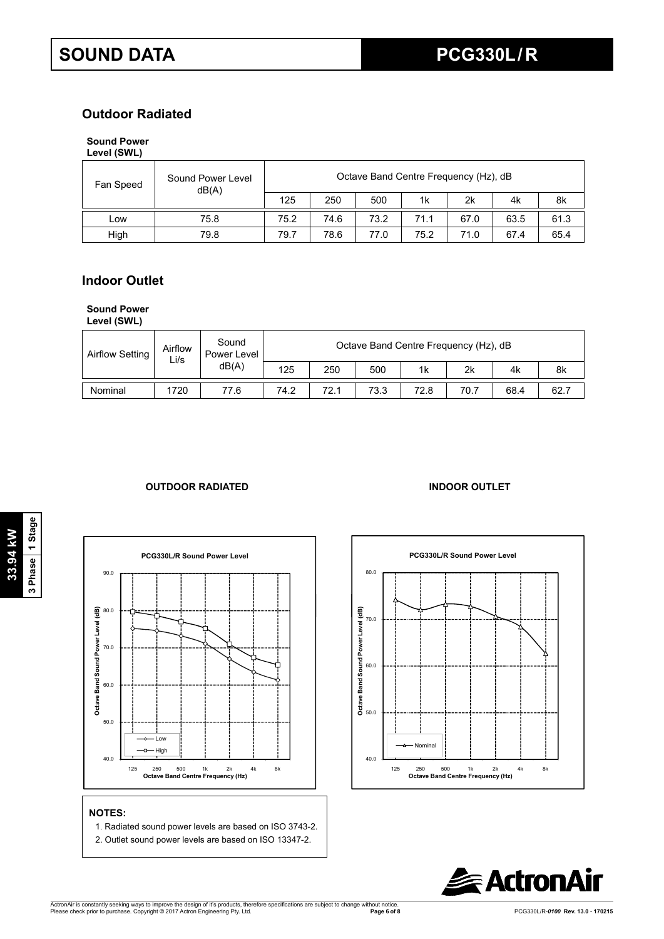## **Outdoor Radiated**

#### **Sound Power Level (SWL)**

| Fan Speed | Sound Power Level<br>dB(A) |      | Octave Band Centre Frequency (Hz), dB |      |      |      |      |      |  |  |  |
|-----------|----------------------------|------|---------------------------------------|------|------|------|------|------|--|--|--|
|           |                            | 125  | 250                                   | 500  | 1k   | 2k   | 4k   | 8k   |  |  |  |
| Low       | 75.8                       | 75.2 | 74.6                                  | 73.2 | 71.1 | 67.0 | 63.5 | 61.3 |  |  |  |
| High      | 79.8                       | 79.7 | 78.6                                  | 77.0 | 75.2 | 71.0 | 67.4 | 65.4 |  |  |  |

### **Indoor Outlet**

#### **Sound Power**

**Level (SWL)**

| <b>Airflow Setting</b> | Airflow<br>Li/s | Sound<br>Power Level<br>dB(A) |      | Octave Band Centre Frequency (Hz), dB |      |      |      |      |      |  |  |  |
|------------------------|-----------------|-------------------------------|------|---------------------------------------|------|------|------|------|------|--|--|--|
|                        |                 |                               | 125  | 250                                   | 500  | 1k   | 2k   | 4k   | 8k   |  |  |  |
| Nominal                | 1720            | 77.6                          | 74.2 | 72.1                                  | 73.3 | 72.8 | 70.7 | 68.4 | 62.7 |  |  |  |

### **OUTDOOR RADIATED INDOOR OUTLET**



## **NOTES:**

- 1. Radiated sound power levels are based on ISO 3743-2.
- 2. Outlet sound power levels are based on ISO 13347-2.



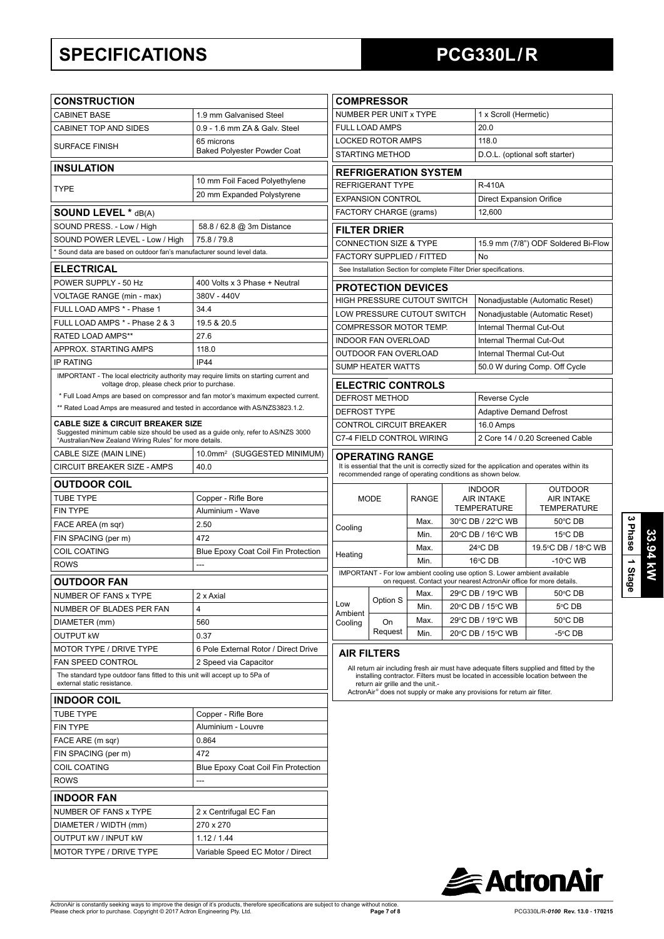# **SPECIFICATIONS PCG330L / R**

| <b>CONSTRUCTION</b>                                                                                                               |                                                                                    |                               | <b>COMPRESSOR</b>                                        |              |  |                                                                                      |                                                                                                                                                                               |
|-----------------------------------------------------------------------------------------------------------------------------------|------------------------------------------------------------------------------------|-------------------------------|----------------------------------------------------------|--------------|--|--------------------------------------------------------------------------------------|-------------------------------------------------------------------------------------------------------------------------------------------------------------------------------|
| <b>CABINET BASE</b>                                                                                                               | 1.9 mm Galvanised Steel                                                            |                               | NUMBER PER UNIT x TYPE                                   |              |  | 1 x Scroll (Hermetic)                                                                |                                                                                                                                                                               |
| CABINET TOP AND SIDES                                                                                                             | 0.9 - 1.6 mm ZA & Galv. Steel                                                      | <b>FULL LOAD AMPS</b><br>20.0 |                                                          |              |  |                                                                                      |                                                                                                                                                                               |
| <b>SURFACE FINISH</b>                                                                                                             | 65 microns                                                                         |                               | <b>LOCKED ROTOR AMPS</b>                                 |              |  | 118.0                                                                                |                                                                                                                                                                               |
|                                                                                                                                   | <b>Baked Polyester Powder Coat</b>                                                 |                               | STARTING METHOD                                          |              |  |                                                                                      | D.O.L. (optional soft starter)                                                                                                                                                |
| <b>INSULATION</b>                                                                                                                 |                                                                                    |                               | <b>REFRIGERATION SYSTEM</b>                              |              |  |                                                                                      |                                                                                                                                                                               |
| <b>TYPE</b>                                                                                                                       | 10 mm Foil Faced Polyethylene                                                      |                               | <b>REFRIGERANT TYPE</b>                                  |              |  | <b>R-410A</b>                                                                        |                                                                                                                                                                               |
|                                                                                                                                   | 20 mm Expanded Polystyrene                                                         |                               | <b>EXPANSION CONTROL</b>                                 |              |  | <b>Direct Expansion Orifice</b>                                                      |                                                                                                                                                                               |
| <b>SOUND LEVEL * dB(A)</b>                                                                                                        |                                                                                    |                               | FACTORY CHARGE (grams)                                   |              |  | 12,600                                                                               |                                                                                                                                                                               |
| SOUND PRESS. - Low / High                                                                                                         | 58.8 / 62.8 @ 3m Distance                                                          |                               |                                                          |              |  |                                                                                      |                                                                                                                                                                               |
| SOUND POWER LEVEL - Low / High                                                                                                    | 75.8 / 79.8                                                                        |                               | <b>FILTER DRIER</b><br><b>CONNECTION SIZE &amp; TYPE</b> |              |  |                                                                                      | 15.9 mm (7/8") ODF Soldered Bi-Flow                                                                                                                                           |
| * Sound data are based on outdoor fan's manufacturer sound level data.                                                            |                                                                                    |                               | FACTORY SUPPLIED / FITTED                                |              |  | No                                                                                   |                                                                                                                                                                               |
| <b>ELECTRICAL</b>                                                                                                                 |                                                                                    |                               |                                                          |              |  | See Installation Section for complete Filter Drier specifications.                   |                                                                                                                                                                               |
| POWER SUPPLY - 50 Hz                                                                                                              | 400 Volts x 3 Phase + Neutral                                                      |                               |                                                          |              |  |                                                                                      |                                                                                                                                                                               |
| VOLTAGE RANGE (min - max)                                                                                                         | 380V - 440V                                                                        |                               | <b>PROTECTION DEVICES</b>                                |              |  |                                                                                      |                                                                                                                                                                               |
| FULL LOAD AMPS * - Phase 1                                                                                                        | 34.4                                                                               |                               | HIGH PRESSURE CUTOUT SWITCH                              |              |  |                                                                                      | Nonadjustable (Automatic Reset)                                                                                                                                               |
| FULL LOAD AMPS * - Phase 2 & 3                                                                                                    | 19.5 & 20.5                                                                        |                               | LOW PRESSURE CUTOUT SWITCH                               |              |  |                                                                                      | Nonadjustable (Automatic Reset)                                                                                                                                               |
| <b>RATED LOAD AMPS**</b>                                                                                                          | 27.6                                                                               |                               | COMPRESSOR MOTOR TEMP.                                   |              |  | Internal Thermal Cut-Out                                                             |                                                                                                                                                                               |
| APPROX. STARTING AMPS                                                                                                             | 118.0                                                                              |                               | <b>INDOOR FAN OVERLOAD</b>                               |              |  | Internal Thermal Cut-Out                                                             |                                                                                                                                                                               |
| <b>IP RATING</b>                                                                                                                  | <b>IP44</b>                                                                        |                               | OUTDOOR FAN OVERLOAD                                     |              |  | Internal Thermal Cut-Out                                                             |                                                                                                                                                                               |
| IMPORTANT - The local electricity authority may require limits on starting current and                                            |                                                                                    |                               | <b>SUMP HEATER WATTS</b>                                 |              |  |                                                                                      | 50.0 W during Comp. Off Cycle                                                                                                                                                 |
| voltage drop, please check prior to purchase.                                                                                     |                                                                                    |                               | <b>ELECTRIC CONTROLS</b>                                 |              |  |                                                                                      |                                                                                                                                                                               |
|                                                                                                                                   | * Full Load Amps are based on compressor and fan motor's maximum expected current. |                               | DEFROST METHOD                                           |              |  | Reverse Cycle                                                                        |                                                                                                                                                                               |
| ** Rated Load Amps are measured and tested in accordance with AS/NZS3823.1.2.                                                     |                                                                                    | <b>DEFROST TYPE</b>           |                                                          |              |  | <b>Adaptive Demand Defrost</b>                                                       |                                                                                                                                                                               |
| <b>CABLE SIZE &amp; CIRCUIT BREAKER SIZE</b><br>Suggested minimum cable size should be used as a guide only, refer to AS/NZS 3000 |                                                                                    |                               | CONTROL CIRCUIT BREAKER                                  |              |  | 16.0 Amps                                                                            |                                                                                                                                                                               |
| "Australian/New Zealand Wiring Rules" for more details.                                                                           |                                                                                    |                               | C7-4 FIELD CONTROL WIRING                                |              |  |                                                                                      | 2 Core 14 / 0.20 Screened Cable                                                                                                                                               |
| CABLE SIZE (MAIN LINE)                                                                                                            | 10.0mm <sup>2</sup> (SUGGESTED MINIMUM)                                            |                               | OPERATING RANGE                                          |              |  |                                                                                      |                                                                                                                                                                               |
| CIRCUIT BREAKER SIZE - AMPS                                                                                                       | 40.0                                                                               |                               |                                                          |              |  |                                                                                      | It is essential that the unit is correctly sized for the application and operates within its                                                                                  |
| <b>OUTDOOR COIL</b>                                                                                                               |                                                                                    |                               |                                                          |              |  | recommended range of operating conditions as shown below.                            |                                                                                                                                                                               |
| <b>TUBE TYPE</b>                                                                                                                  | Copper - Rifle Bore                                                                |                               | <b>MODE</b>                                              | <b>RANGE</b> |  | <b>INDOOR</b><br><b>AIR INTAKE</b>                                                   | <b>OUTDOOR</b><br><b>AIR INTAKE</b>                                                                                                                                           |
| <b>FIN TYPE</b>                                                                                                                   | Aluminium - Wave                                                                   |                               |                                                          |              |  | <b>TEMPERATURE</b>                                                                   | <b>TEMPERATURE</b>                                                                                                                                                            |
| FACE AREA (m sqr)                                                                                                                 | 2.50                                                                               | Cooling                       |                                                          | Max.         |  | 30°C DB / 22°C WB                                                                    | 50°C DB                                                                                                                                                                       |
| FIN SPACING (per m)                                                                                                               | 472                                                                                |                               |                                                          | Min.         |  | 20°C DB / 16°C WB                                                                    | 15°C DB                                                                                                                                                                       |
| <b>COIL COATING</b>                                                                                                               | <b>Blue Epoxy Coat Coil Fin Protection</b>                                         | Heating                       |                                                          | Max.         |  | $24^{\circ}$ CDB                                                                     | 19.5°C DB / 18°C WB                                                                                                                                                           |
| <b>ROWS</b>                                                                                                                       | ---                                                                                |                               |                                                          | Min.         |  | 16°C DB                                                                              | $-10^{\circ}$ C WB                                                                                                                                                            |
| <b>OUTDOOR FAN</b>                                                                                                                |                                                                                    |                               |                                                          |              |  | IMPORTANT - For low ambient cooling use option S. Lower ambient available            | on request. Contact your nearest ActronAir office for more details.                                                                                                           |
| NUMBER OF FANS x TYPE                                                                                                             | 2 x Axial                                                                          |                               |                                                          |              |  |                                                                                      | Max. 29 °C DB / 19 °C WB 50 °C DB                                                                                                                                             |
| NUMBER OF BLADES PER FAN                                                                                                          | 4                                                                                  | Low                           | Option S                                                 | Min.         |  | 20°C DB / 15°C WB                                                                    | 5℃ DB                                                                                                                                                                         |
| DIAMETER (mm)                                                                                                                     | 560                                                                                | Ambient<br>Cooling            | On                                                       | Max.         |  | 29°C DB / 19°C WB                                                                    | 50°C DB                                                                                                                                                                       |
| <b>OUTPUT KW</b>                                                                                                                  | 0.37                                                                               |                               | Request                                                  | Min.         |  | 20°C DB / 15°C WB                                                                    | $-5^{\circ}$ C DB                                                                                                                                                             |
| MOTOR TYPE / DRIVE TYPE                                                                                                           | 6 Pole External Rotor / Direct Drive                                               |                               |                                                          |              |  |                                                                                      |                                                                                                                                                                               |
| FAN SPEED CONTROL                                                                                                                 | 2 Speed via Capacitor                                                              |                               | <b>AIR FILTERS</b>                                       |              |  |                                                                                      |                                                                                                                                                                               |
| The standard type outdoor fans fitted to this unit will accept up to 5Pa of<br>external static resistance.                        |                                                                                    |                               | return air grille and the unit.-                         |              |  |                                                                                      | All return air including fresh air must have adequate filters supplied and fitted by the<br>installing contractor. Filters must be located in accessible location between the |
| <b>INDOOR COIL</b>                                                                                                                |                                                                                    |                               |                                                          |              |  | ActronAir <sup>®</sup> does not supply or make any provisions for return air filter. |                                                                                                                                                                               |
| <b>TUBE TYPE</b>                                                                                                                  | Copper - Rifle Bore                                                                |                               |                                                          |              |  |                                                                                      |                                                                                                                                                                               |
| <b>FIN TYPE</b>                                                                                                                   | Aluminium - Louvre                                                                 |                               |                                                          |              |  |                                                                                      |                                                                                                                                                                               |
| FACE ARE (m sqr)                                                                                                                  | 0.864                                                                              |                               |                                                          |              |  |                                                                                      |                                                                                                                                                                               |
| FIN SPACING (per m)                                                                                                               | 472                                                                                |                               |                                                          |              |  |                                                                                      |                                                                                                                                                                               |
| <b>COIL COATING</b>                                                                                                               | Blue Epoxy Coat Coil Fin Protection                                                |                               |                                                          |              |  |                                                                                      |                                                                                                                                                                               |
| <b>ROWS</b>                                                                                                                       |                                                                                    |                               |                                                          |              |  |                                                                                      |                                                                                                                                                                               |
|                                                                                                                                   |                                                                                    |                               |                                                          |              |  |                                                                                      |                                                                                                                                                                               |
| <b>INDOOR FAN</b>                                                                                                                 |                                                                                    |                               |                                                          |              |  |                                                                                      |                                                                                                                                                                               |
| NUMBER OF FANS x TYPE                                                                                                             | 2 x Centrifugal EC Fan                                                             |                               |                                                          |              |  |                                                                                      |                                                                                                                                                                               |
| DIAMETER / WIDTH (mm)                                                                                                             | 270 x 270                                                                          |                               |                                                          |              |  |                                                                                      |                                                                                                                                                                               |
| OUTPUT kW / INPUT kW                                                                                                              | 1.12 / 1.44                                                                        |                               |                                                          |              |  |                                                                                      |                                                                                                                                                                               |
| MOTOR TYPE / DRIVE TYPE                                                                                                           | Variable Speed EC Motor / Direct                                                   |                               |                                                          |              |  |                                                                                      |                                                                                                                                                                               |

**3 Phase**

 **1 Stage**